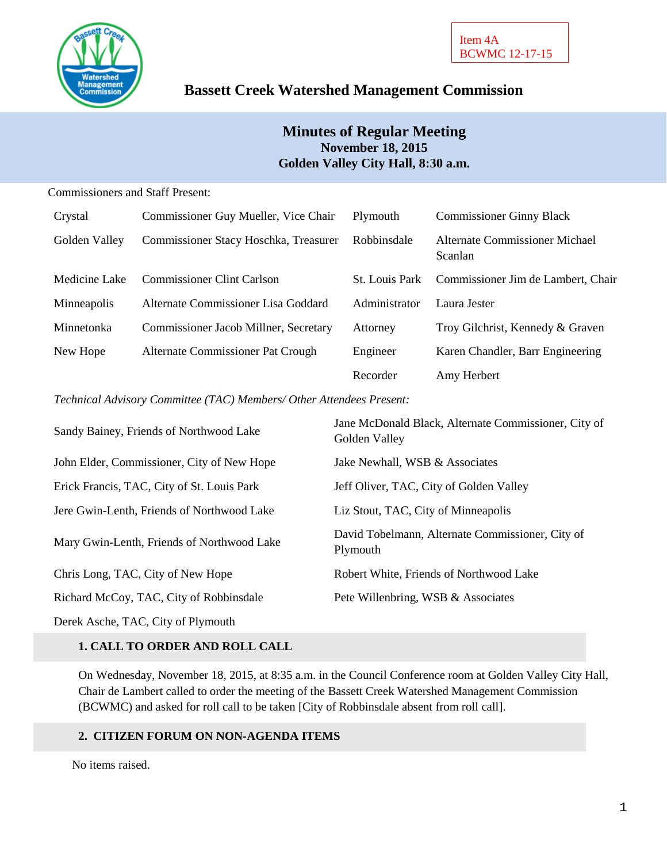

# **Bassett Creek Watershed Management Commission**

### **Minutes of Regular Meeting November 18, 2015 Golden Valley City Hall, 8:30 a.m.**

#### Commissioners and Staff Present:

| Crystal       | Commissioner Guy Mueller, Vice Chair  | Plymouth              | <b>Commissioner Ginny Black</b>           |
|---------------|---------------------------------------|-----------------------|-------------------------------------------|
| Golden Valley | Commissioner Stacy Hoschka, Treasurer | Robbinsdale           | Alternate Commissioner Michael<br>Scanlan |
| Medicine Lake | <b>Commissioner Clint Carlson</b>     | <b>St.</b> Louis Park | Commissioner Jim de Lambert, Chair        |
| Minneapolis   | Alternate Commissioner Lisa Goddard   | Administrator         | Laura Jester                              |
| Minnetonka    | Commissioner Jacob Millner, Secretary | Attorney              | Troy Gilchrist, Kennedy & Graven          |
| New Hope      | Alternate Commissioner Pat Crough     | Engineer              | Karen Chandler, Barr Engineering          |
|               |                                       | Recorder              | Amy Herbert                               |

#### *Technical Advisory Committee (TAC) Members/ Other Attendees Present:*

| Sandy Bainey, Friends of Northwood Lake    | Jane McDonald Black, Alternate Commissioner, City of<br>Golden Valley |
|--------------------------------------------|-----------------------------------------------------------------------|
| John Elder, Commissioner, City of New Hope | Jake Newhall, WSB & Associates                                        |
| Erick Francis, TAC, City of St. Louis Park | Jeff Oliver, TAC, City of Golden Valley                               |
| Jere Gwin-Lenth, Friends of Northwood Lake | Liz Stout, TAC, City of Minneapolis                                   |
| Mary Gwin-Lenth, Friends of Northwood Lake | David Tobelmann, Alternate Commissioner, City of<br>Plymouth          |
| Chris Long, TAC, City of New Hope          | Robert White, Friends of Northwood Lake                               |
| Richard McCoy, TAC, City of Robbinsdale    | Pete Willenbring, WSB & Associates                                    |
| Derek Asche, TAC, City of Plymouth         |                                                                       |

#### **1. CALL TO ORDER AND ROLL CALL**

On Wednesday, November 18, 2015, at 8:35 a.m. in the Council Conference room at Golden Valley City Hall, Chair de Lambert called to order the meeting of the Bassett Creek Watershed Management Commission (BCWMC) and asked for roll call to be taken [City of Robbinsdale absent from roll call].

#### **2. CITIZEN FORUM ON NON-AGENDA ITEMS**

No items raised.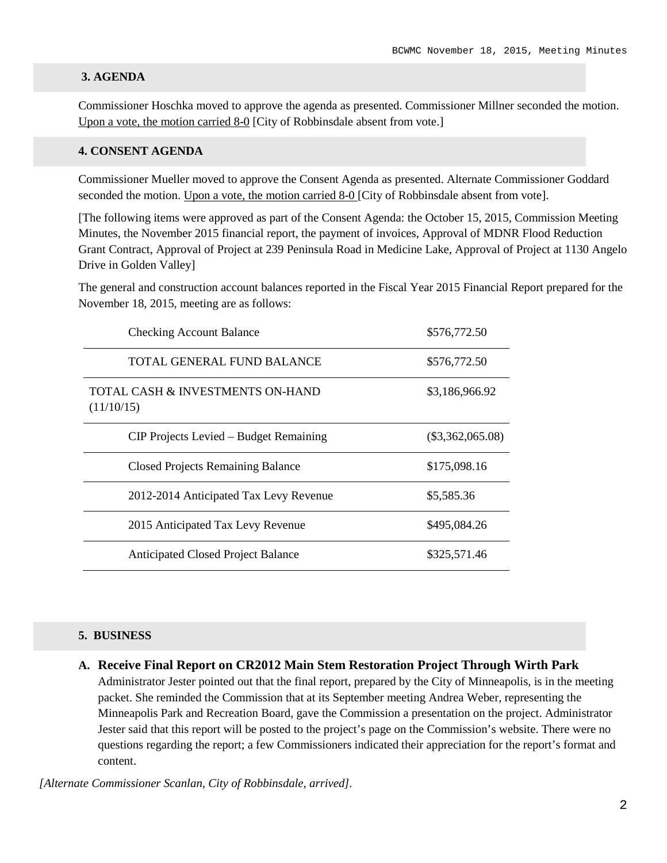#### **3. AGENDA**

Commissioner Hoschka moved to approve the agenda as presented. Commissioner Millner seconded the motion. Upon a vote, the motion carried 8-0 [City of Robbinsdale absent from vote.]

#### **4. CONSENT AGENDA**

Commissioner Mueller moved to approve the Consent Agenda as presented. Alternate Commissioner Goddard seconded the motion. Upon a vote, the motion carried 8-0 [City of Robbinsdale absent from vote].

[The following items were approved as part of the Consent Agenda: the October 15, 2015, Commission Meeting Minutes, the November 2015 financial report, the payment of invoices, Approval of MDNR Flood Reduction Grant Contract, Approval of Project at 239 Peninsula Road in Medicine Lake, Approval of Project at 1130 Angelo Drive in Golden Valley]

The general and construction account balances reported in the Fiscal Year 2015 Financial Report prepared for the November 18, 2015, meeting are as follows:

| <b>Checking Account Balance</b>                | \$576,772.50       |
|------------------------------------------------|--------------------|
| TOTAL GENERAL FUND BALANCE                     | \$576,772.50       |
| TOTAL CASH & INVESTMENTS ON-HAND<br>(11/10/15) | \$3,186,966.92     |
| CIP Projects Levied – Budget Remaining         | $(\$3,362,065.08)$ |
| <b>Closed Projects Remaining Balance</b>       | \$175,098.16       |
| 2012-2014 Anticipated Tax Levy Revenue         | \$5,585.36         |
| 2015 Anticipated Tax Levy Revenue              | \$495,084.26       |
| <b>Anticipated Closed Project Balance</b>      | \$325,571.46       |

#### **5. BUSINESS**

**A. Receive Final Report on CR2012 Main Stem Restoration Project Through Wirth Park** Administrator Jester pointed out that the final report, prepared by the City of Minneapolis, is in the meeting packet. She reminded the Commission that at its September meeting Andrea Weber, representing the Minneapolis Park and Recreation Board, gave the Commission a presentation on the project. Administrator Jester said that this report will be posted to the project's page on the Commission's website. There were no questions regarding the report; a few Commissioners indicated their appreciation for the report's format and content.

*[Alternate Commissioner Scanlan, City of Robbinsdale, arrived].*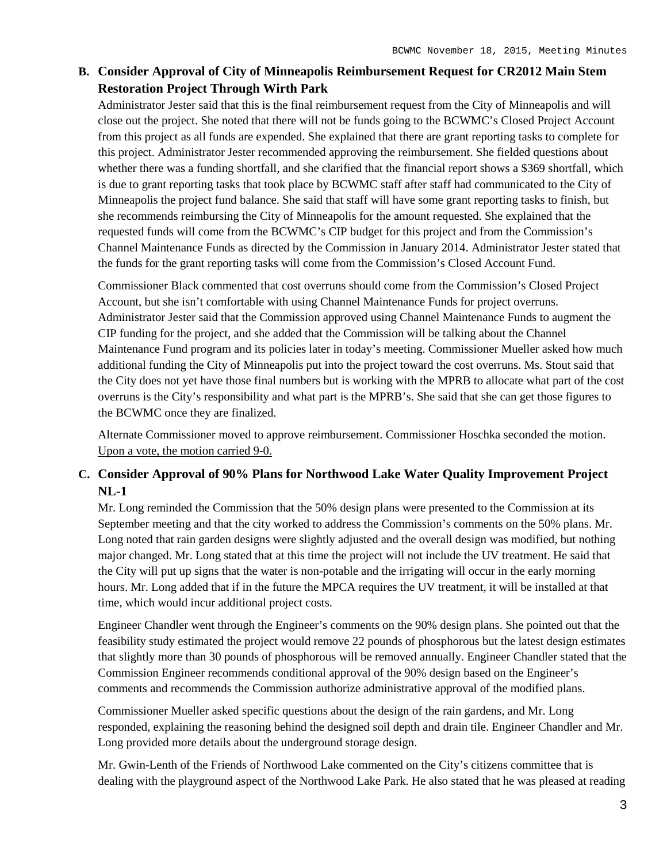## **B. Consider Approval of City of Minneapolis Reimbursement Request for CR2012 Main Stem Restoration Project Through Wirth Park**

Administrator Jester said that this is the final reimbursement request from the City of Minneapolis and will close out the project. She noted that there will not be funds going to the BCWMC's Closed Project Account from this project as all funds are expended. She explained that there are grant reporting tasks to complete for this project. Administrator Jester recommended approving the reimbursement. She fielded questions about whether there was a funding shortfall, and she clarified that the financial report shows a \$369 shortfall, which is due to grant reporting tasks that took place by BCWMC staff after staff had communicated to the City of Minneapolis the project fund balance. She said that staff will have some grant reporting tasks to finish, but she recommends reimbursing the City of Minneapolis for the amount requested. She explained that the requested funds will come from the BCWMC's CIP budget for this project and from the Commission's Channel Maintenance Funds as directed by the Commission in January 2014. Administrator Jester stated that the funds for the grant reporting tasks will come from the Commission's Closed Account Fund.

Commissioner Black commented that cost overruns should come from the Commission's Closed Project Account, but she isn't comfortable with using Channel Maintenance Funds for project overruns. Administrator Jester said that the Commission approved using Channel Maintenance Funds to augment the CIP funding for the project, and she added that the Commission will be talking about the Channel Maintenance Fund program and its policies later in today's meeting. Commissioner Mueller asked how much additional funding the City of Minneapolis put into the project toward the cost overruns. Ms. Stout said that the City does not yet have those final numbers but is working with the MPRB to allocate what part of the cost overruns is the City's responsibility and what part is the MPRB's. She said that she can get those figures to the BCWMC once they are finalized.

Alternate Commissioner moved to approve reimbursement. Commissioner Hoschka seconded the motion. Upon a vote, the motion carried 9-0.

### **C. Consider Approval of 90% Plans for Northwood Lake Water Quality Improvement Project NL-1**

Mr. Long reminded the Commission that the 50% design plans were presented to the Commission at its September meeting and that the city worked to address the Commission's comments on the 50% plans. Mr. Long noted that rain garden designs were slightly adjusted and the overall design was modified, but nothing major changed. Mr. Long stated that at this time the project will not include the UV treatment. He said that the City will put up signs that the water is non-potable and the irrigating will occur in the early morning hours. Mr. Long added that if in the future the MPCA requires the UV treatment, it will be installed at that time, which would incur additional project costs.

Engineer Chandler went through the Engineer's comments on the 90% design plans. She pointed out that the feasibility study estimated the project would remove 22 pounds of phosphorous but the latest design estimates that slightly more than 30 pounds of phosphorous will be removed annually. Engineer Chandler stated that the Commission Engineer recommends conditional approval of the 90% design based on the Engineer's comments and recommends the Commission authorize administrative approval of the modified plans.

Commissioner Mueller asked specific questions about the design of the rain gardens, and Mr. Long responded, explaining the reasoning behind the designed soil depth and drain tile. Engineer Chandler and Mr. Long provided more details about the underground storage design.

Mr. Gwin-Lenth of the Friends of Northwood Lake commented on the City's citizens committee that is dealing with the playground aspect of the Northwood Lake Park. He also stated that he was pleased at reading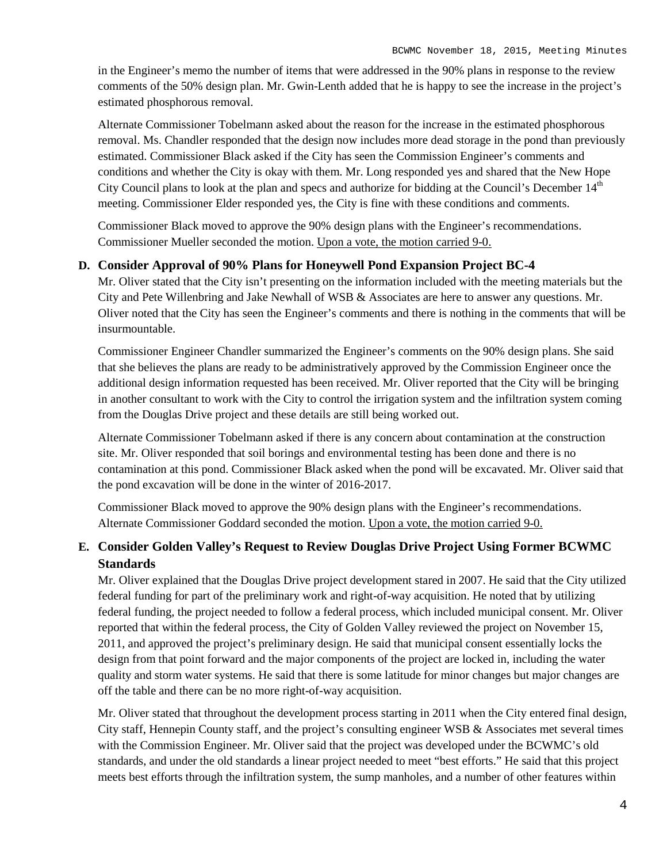in the Engineer's memo the number of items that were addressed in the 90% plans in response to the review comments of the 50% design plan. Mr. Gwin-Lenth added that he is happy to see the increase in the project's estimated phosphorous removal.

Alternate Commissioner Tobelmann asked about the reason for the increase in the estimated phosphorous removal. Ms. Chandler responded that the design now includes more dead storage in the pond than previously estimated. Commissioner Black asked if the City has seen the Commission Engineer's comments and conditions and whether the City is okay with them. Mr. Long responded yes and shared that the New Hope City Council plans to look at the plan and specs and authorize for bidding at the Council's December  $14<sup>th</sup>$ meeting. Commissioner Elder responded yes, the City is fine with these conditions and comments.

Commissioner Black moved to approve the 90% design plans with the Engineer's recommendations. Commissioner Mueller seconded the motion. Upon a vote, the motion carried 9-0.

#### **D. Consider Approval of 90% Plans for Honeywell Pond Expansion Project BC-4**

Mr. Oliver stated that the City isn't presenting on the information included with the meeting materials but the City and Pete Willenbring and Jake Newhall of WSB & Associates are here to answer any questions. Mr. Oliver noted that the City has seen the Engineer's comments and there is nothing in the comments that will be insurmountable.

Commissioner Engineer Chandler summarized the Engineer's comments on the 90% design plans. She said that she believes the plans are ready to be administratively approved by the Commission Engineer once the additional design information requested has been received. Mr. Oliver reported that the City will be bringing in another consultant to work with the City to control the irrigation system and the infiltration system coming from the Douglas Drive project and these details are still being worked out.

Alternate Commissioner Tobelmann asked if there is any concern about contamination at the construction site. Mr. Oliver responded that soil borings and environmental testing has been done and there is no contamination at this pond. Commissioner Black asked when the pond will be excavated. Mr. Oliver said that the pond excavation will be done in the winter of 2016-2017.

Commissioner Black moved to approve the 90% design plans with the Engineer's recommendations. Alternate Commissioner Goddard seconded the motion. Upon a vote, the motion carried 9-0.

### **E. Consider Golden Valley's Request to Review Douglas Drive Project Using Former BCWMC Standards**

Mr. Oliver explained that the Douglas Drive project development stared in 2007. He said that the City utilized federal funding for part of the preliminary work and right-of-way acquisition. He noted that by utilizing federal funding, the project needed to follow a federal process, which included municipal consent. Mr. Oliver reported that within the federal process, the City of Golden Valley reviewed the project on November 15, 2011, and approved the project's preliminary design. He said that municipal consent essentially locks the design from that point forward and the major components of the project are locked in, including the water quality and storm water systems. He said that there is some latitude for minor changes but major changes are off the table and there can be no more right-of-way acquisition.

Mr. Oliver stated that throughout the development process starting in 2011 when the City entered final design, City staff, Hennepin County staff, and the project's consulting engineer WSB & Associates met several times with the Commission Engineer. Mr. Oliver said that the project was developed under the BCWMC's old standards, and under the old standards a linear project needed to meet "best efforts." He said that this project meets best efforts through the infiltration system, the sump manholes, and a number of other features within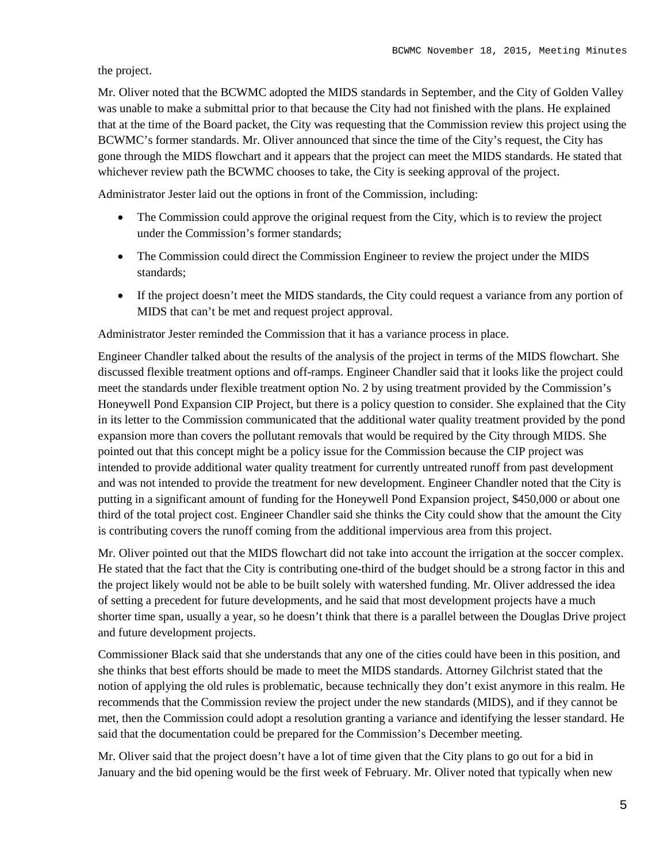the project.

Mr. Oliver noted that the BCWMC adopted the MIDS standards in September, and the City of Golden Valley was unable to make a submittal prior to that because the City had not finished with the plans. He explained that at the time of the Board packet, the City was requesting that the Commission review this project using the BCWMC's former standards. Mr. Oliver announced that since the time of the City's request, the City has gone through the MIDS flowchart and it appears that the project can meet the MIDS standards. He stated that whichever review path the BCWMC chooses to take, the City is seeking approval of the project.

Administrator Jester laid out the options in front of the Commission, including:

- The Commission could approve the original request from the City, which is to review the project under the Commission's former standards;
- The Commission could direct the Commission Engineer to review the project under the MIDS standards;
- If the project doesn't meet the MIDS standards, the City could request a variance from any portion of MIDS that can't be met and request project approval.

Administrator Jester reminded the Commission that it has a variance process in place.

Engineer Chandler talked about the results of the analysis of the project in terms of the MIDS flowchart. She discussed flexible treatment options and off-ramps. Engineer Chandler said that it looks like the project could meet the standards under flexible treatment option No. 2 by using treatment provided by the Commission's Honeywell Pond Expansion CIP Project, but there is a policy question to consider. She explained that the City in its letter to the Commission communicated that the additional water quality treatment provided by the pond expansion more than covers the pollutant removals that would be required by the City through MIDS. She pointed out that this concept might be a policy issue for the Commission because the CIP project was intended to provide additional water quality treatment for currently untreated runoff from past development and was not intended to provide the treatment for new development. Engineer Chandler noted that the City is putting in a significant amount of funding for the Honeywell Pond Expansion project, \$450,000 or about one third of the total project cost. Engineer Chandler said she thinks the City could show that the amount the City is contributing covers the runoff coming from the additional impervious area from this project.

Mr. Oliver pointed out that the MIDS flowchart did not take into account the irrigation at the soccer complex. He stated that the fact that the City is contributing one-third of the budget should be a strong factor in this and the project likely would not be able to be built solely with watershed funding. Mr. Oliver addressed the idea of setting a precedent for future developments, and he said that most development projects have a much shorter time span, usually a year, so he doesn't think that there is a parallel between the Douglas Drive project and future development projects.

Commissioner Black said that she understands that any one of the cities could have been in this position, and she thinks that best efforts should be made to meet the MIDS standards. Attorney Gilchrist stated that the notion of applying the old rules is problematic, because technically they don't exist anymore in this realm. He recommends that the Commission review the project under the new standards (MIDS), and if they cannot be met, then the Commission could adopt a resolution granting a variance and identifying the lesser standard. He said that the documentation could be prepared for the Commission's December meeting.

Mr. Oliver said that the project doesn't have a lot of time given that the City plans to go out for a bid in January and the bid opening would be the first week of February. Mr. Oliver noted that typically when new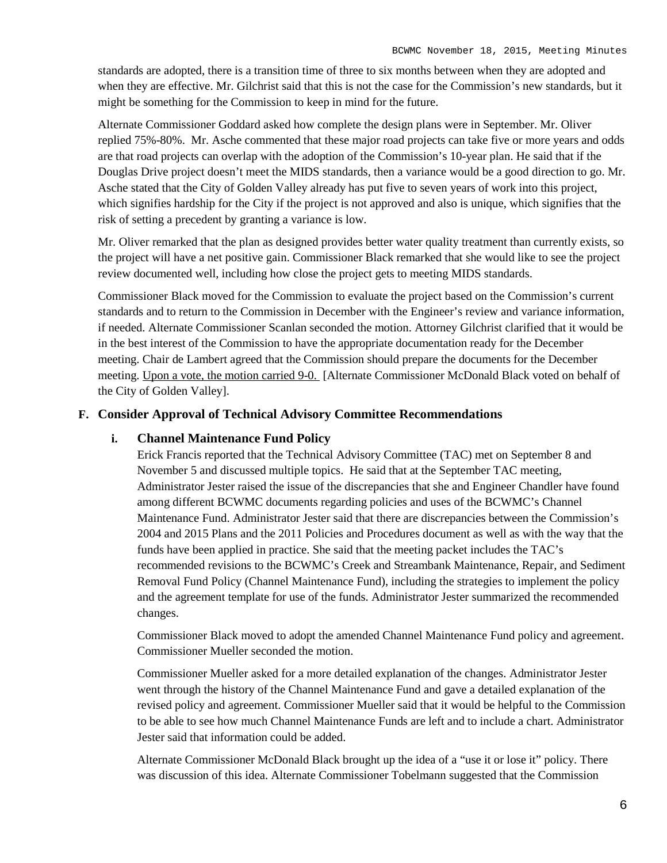standards are adopted, there is a transition time of three to six months between when they are adopted and when they are effective. Mr. Gilchrist said that this is not the case for the Commission's new standards, but it might be something for the Commission to keep in mind for the future.

Alternate Commissioner Goddard asked how complete the design plans were in September. Mr. Oliver replied 75%-80%. Mr. Asche commented that these major road projects can take five or more years and odds are that road projects can overlap with the adoption of the Commission's 10-year plan. He said that if the Douglas Drive project doesn't meet the MIDS standards, then a variance would be a good direction to go. Mr. Asche stated that the City of Golden Valley already has put five to seven years of work into this project, which signifies hardship for the City if the project is not approved and also is unique, which signifies that the risk of setting a precedent by granting a variance is low.

Mr. Oliver remarked that the plan as designed provides better water quality treatment than currently exists, so the project will have a net positive gain. Commissioner Black remarked that she would like to see the project review documented well, including how close the project gets to meeting MIDS standards.

Commissioner Black moved for the Commission to evaluate the project based on the Commission's current standards and to return to the Commission in December with the Engineer's review and variance information, if needed. Alternate Commissioner Scanlan seconded the motion. Attorney Gilchrist clarified that it would be in the best interest of the Commission to have the appropriate documentation ready for the December meeting. Chair de Lambert agreed that the Commission should prepare the documents for the December meeting. Upon a vote, the motion carried 9-0. [Alternate Commissioner McDonald Black voted on behalf of the City of Golden Valley].

#### **F. Consider Approval of Technical Advisory Committee Recommendations**

#### **i. Channel Maintenance Fund Policy**

Erick Francis reported that the Technical Advisory Committee (TAC) met on September 8 and November 5 and discussed multiple topics. He said that at the September TAC meeting, Administrator Jester raised the issue of the discrepancies that she and Engineer Chandler have found among different BCWMC documents regarding policies and uses of the BCWMC's Channel Maintenance Fund. Administrator Jester said that there are discrepancies between the Commission's 2004 and 2015 Plans and the 2011 Policies and Procedures document as well as with the way that the funds have been applied in practice. She said that the meeting packet includes the TAC's recommended revisions to the BCWMC's Creek and Streambank Maintenance, Repair, and Sediment Removal Fund Policy (Channel Maintenance Fund), including the strategies to implement the policy and the agreement template for use of the funds. Administrator Jester summarized the recommended changes.

Commissioner Black moved to adopt the amended Channel Maintenance Fund policy and agreement. Commissioner Mueller seconded the motion.

Commissioner Mueller asked for a more detailed explanation of the changes. Administrator Jester went through the history of the Channel Maintenance Fund and gave a detailed explanation of the revised policy and agreement. Commissioner Mueller said that it would be helpful to the Commission to be able to see how much Channel Maintenance Funds are left and to include a chart. Administrator Jester said that information could be added.

Alternate Commissioner McDonald Black brought up the idea of a "use it or lose it" policy. There was discussion of this idea. Alternate Commissioner Tobelmann suggested that the Commission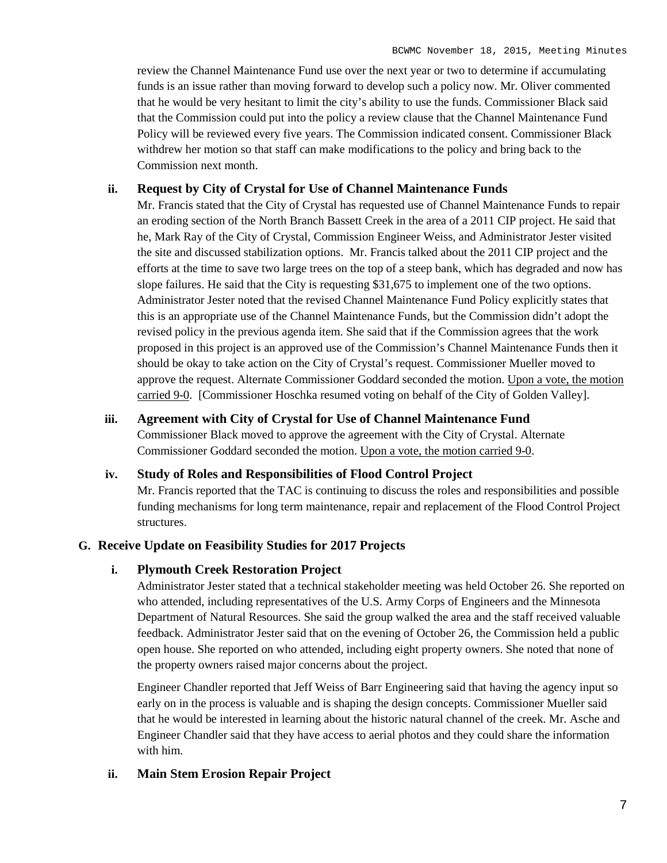review the Channel Maintenance Fund use over the next year or two to determine if accumulating funds is an issue rather than moving forward to develop such a policy now. Mr. Oliver commented that he would be very hesitant to limit the city's ability to use the funds. Commissioner Black said that the Commission could put into the policy a review clause that the Channel Maintenance Fund Policy will be reviewed every five years. The Commission indicated consent. Commissioner Black withdrew her motion so that staff can make modifications to the policy and bring back to the Commission next month.

#### **ii. Request by City of Crystal for Use of Channel Maintenance Funds**

Mr. Francis stated that the City of Crystal has requested use of Channel Maintenance Funds to repair an eroding section of the North Branch Bassett Creek in the area of a 2011 CIP project. He said that he, Mark Ray of the City of Crystal, Commission Engineer Weiss, and Administrator Jester visited the site and discussed stabilization options. Mr. Francis talked about the 2011 CIP project and the efforts at the time to save two large trees on the top of a steep bank, which has degraded and now has slope failures. He said that the City is requesting \$31,675 to implement one of the two options. Administrator Jester noted that the revised Channel Maintenance Fund Policy explicitly states that this is an appropriate use of the Channel Maintenance Funds, but the Commission didn't adopt the revised policy in the previous agenda item. She said that if the Commission agrees that the work proposed in this project is an approved use of the Commission's Channel Maintenance Funds then it should be okay to take action on the City of Crystal's request. Commissioner Mueller moved to approve the request. Alternate Commissioner Goddard seconded the motion. Upon a vote, the motion carried 9-0. [Commissioner Hoschka resumed voting on behalf of the City of Golden Valley].

#### **iii. Agreement with City of Crystal for Use of Channel Maintenance Fund**

Commissioner Black moved to approve the agreement with the City of Crystal. Alternate Commissioner Goddard seconded the motion. Upon a vote, the motion carried 9-0.

#### **iv. Study of Roles and Responsibilities of Flood Control Project**

Mr. Francis reported that the TAC is continuing to discuss the roles and responsibilities and possible funding mechanisms for long term maintenance, repair and replacement of the Flood Control Project structures.

#### **G. Receive Update on Feasibility Studies for 2017 Projects**

#### **i. Plymouth Creek Restoration Project**

Administrator Jester stated that a technical stakeholder meeting was held October 26. She reported on who attended, including representatives of the U.S. Army Corps of Engineers and the Minnesota Department of Natural Resources. She said the group walked the area and the staff received valuable feedback. Administrator Jester said that on the evening of October 26, the Commission held a public open house. She reported on who attended, including eight property owners. She noted that none of the property owners raised major concerns about the project.

Engineer Chandler reported that Jeff Weiss of Barr Engineering said that having the agency input so early on in the process is valuable and is shaping the design concepts. Commissioner Mueller said that he would be interested in learning about the historic natural channel of the creek. Mr. Asche and Engineer Chandler said that they have access to aerial photos and they could share the information with him.

#### **ii. Main Stem Erosion Repair Project**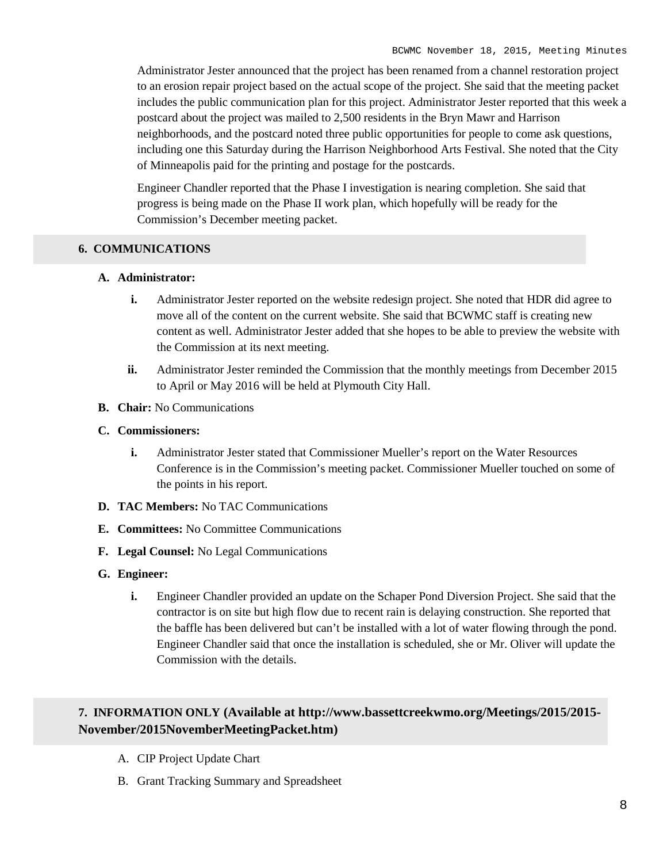Administrator Jester announced that the project has been renamed from a channel restoration project to an erosion repair project based on the actual scope of the project. She said that the meeting packet includes the public communication plan for this project. Administrator Jester reported that this week a postcard about the project was mailed to 2,500 residents in the Bryn Mawr and Harrison neighborhoods, and the postcard noted three public opportunities for people to come ask questions, including one this Saturday during the Harrison Neighborhood Arts Festival. She noted that the City of Minneapolis paid for the printing and postage for the postcards.

Engineer Chandler reported that the Phase I investigation is nearing completion. She said that progress is being made on the Phase II work plan, which hopefully will be ready for the Commission's December meeting packet.

#### **6. COMMUNICATIONS**

#### **A. Administrator:**

- **i.** Administrator Jester reported on the website redesign project. She noted that HDR did agree to move all of the content on the current website. She said that BCWMC staff is creating new content as well. Administrator Jester added that she hopes to be able to preview the website with the Commission at its next meeting.
- **ii.** Administrator Jester reminded the Commission that the monthly meetings from December 2015 to April or May 2016 will be held at Plymouth City Hall.
- **B. Chair:** No Communications
- **C. Commissioners:**
	- **i.** Administrator Jester stated that Commissioner Mueller's report on the Water Resources Conference is in the Commission's meeting packet. Commissioner Mueller touched on some of the points in his report.
- **D. TAC Members:** No TAC Communications
- **E. Committees:** No Committee Communications
- **F. Legal Counsel:** No Legal Communications
- **G. Engineer:**
	- **i.** Engineer Chandler provided an update on the Schaper Pond Diversion Project. She said that the contractor is on site but high flow due to recent rain is delaying construction. She reported that the baffle has been delivered but can't be installed with a lot of water flowing through the pond. Engineer Chandler said that once the installation is scheduled, she or Mr. Oliver will update the Commission with the details.

## **7. INFORMATION ONLY (Available at http://www.bassettcreekwmo.org/Meetings/2015/2015- November/2015NovemberMeetingPacket.htm)**

- A. CIP Project Update Chart
- B. Grant Tracking Summary and Spreadsheet